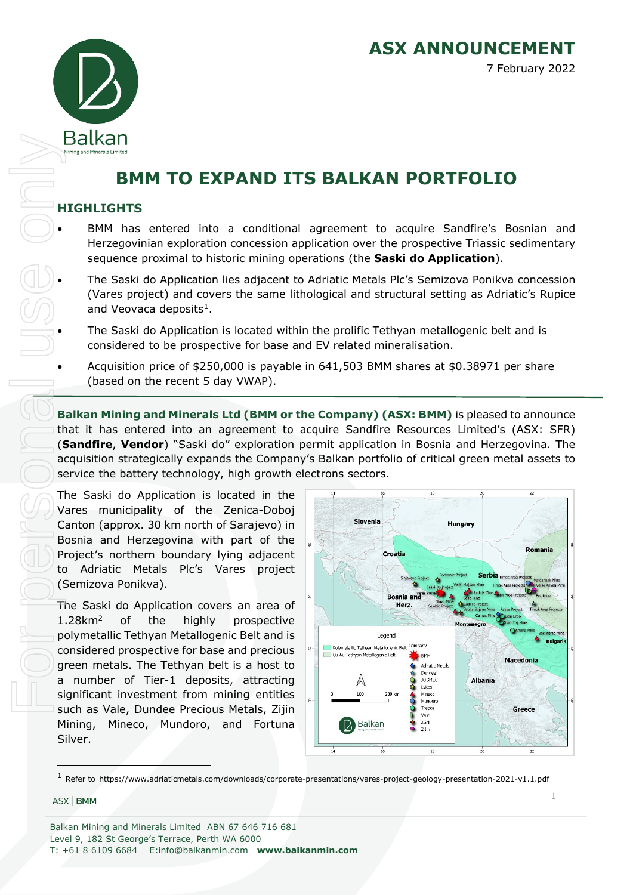**ASX ANNOUNCEMENT** 7 February 2022



# **BMM TO EXPAND ITS BALKAN PORTFOLIO**

## **HIGHLIGHTS**

- BMM has entered into a conditional agreement to acquire Sandfire's Bosnian and Herzegovinian exploration concession application over the prospective Triassic sedimentary sequence proximal to historic mining operations (the **Saski do Application**).
- The Saski do Application lies adjacent to Adriatic Metals Plc's Semizova Ponikva concession (Vares project) and covers the same lithological and structural setting as Adriatic's Rupice and Veovaca deposits<sup>[1](#page-0-0)</sup>.
- The Saski do Application is located within the prolific Tethyan metallogenic belt and is considered to be prospective for base and EV related mineralisation.
- Acquisition price of \$250,000 is payable in 641,503 BMM shares at \$0.38971 per share (based on the recent 5 day VWAP).

**Balkan Mining and Minerals Ltd (BMM or the Company) (ASX: BMM)** is pleased to announce that it has entered into an agreement to acquire Sandfire Resources Limited's (ASX: SFR) (**Sandfire**, **Vendor**) "Saski do" exploration permit application in Bosnia and Herzegovina. The acquisition strategically expands the Company's Balkan portfolio of critical green metal assets to service the battery technology, high growth electrons sectors.

The Saski do Application is located in the Vares municipality of the Zenica-Doboj Canton (approx. 30 km north of Sarajevo) in Bosnia and Herzegovina with part of the Project's northern boundary lying adjacent to Adriatic Metals Plc's Vares project (Semizova Ponikva).

The Saski do Application covers an area of 1.28km2 of the highly prospective polymetallic Tethyan Metallogenic Belt and is considered prospective for base and precious green metals. The Tethyan belt is a host to a number of Tier-1 deposits, attracting significant investment from mining entities such as Vale, Dundee Precious Metals, Zijin Mining, Mineco, Mundoro, and Fortuna Silver.



#### <span id="page-0-0"></span>ASX BMM

1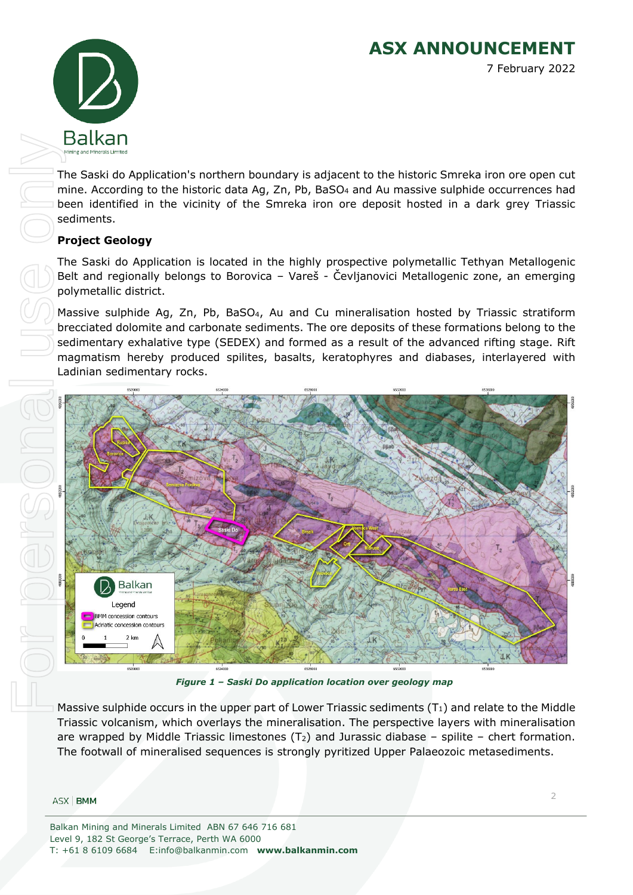**ASX ANNOUNCEMENT** 7 February 2022



The Saski do Application's northern boundary is adjacent to the historic Smreka iron ore open cut mine. According to the historic data Ag, Zn, Pb, BaSO<sub>4</sub> and Au massive sulphide occurrences had been identified in the vicinity of the Smreka iron ore deposit hosted in a dark grey Triassic sediments.

# **Project Geology**

The Saski do Application is located in the highly prospective polymetallic Tethyan Metallogenic Belt and regionally belongs to Borovica – Vareš - Čevljanovici Metallogenic zone, an emerging polymetallic district.

Massive sulphide Ag, Zn, Pb, BaSO<sub>4</sub>, Au and Cu mineralisation hosted by Triassic stratiform brecciated dolomite and carbonate sediments. The ore deposits of these formations belong to the sedimentary exhalative type (SEDEX) and formed as a result of the advanced rifting stage. Rift magmatism hereby produced spilites, basalts, keratophyres and diabases, interlayered with Ladinian sedimentary rocks.



*Figure 1 – Saski Do application location over geology map*

Massive sulphide occurs in the upper part of Lower Triassic sediments  $(T_1)$  and relate to the Middle Triassic volcanism, which overlays the mineralisation. The perspective layers with mineralisation are wrapped by Middle Triassic limestones  $(T_2)$  and Jurassic diabase – spilite – chert formation. The footwall of mineralised sequences is strongly pyritized Upper Palaeozoic metasediments.

#### ASX BMM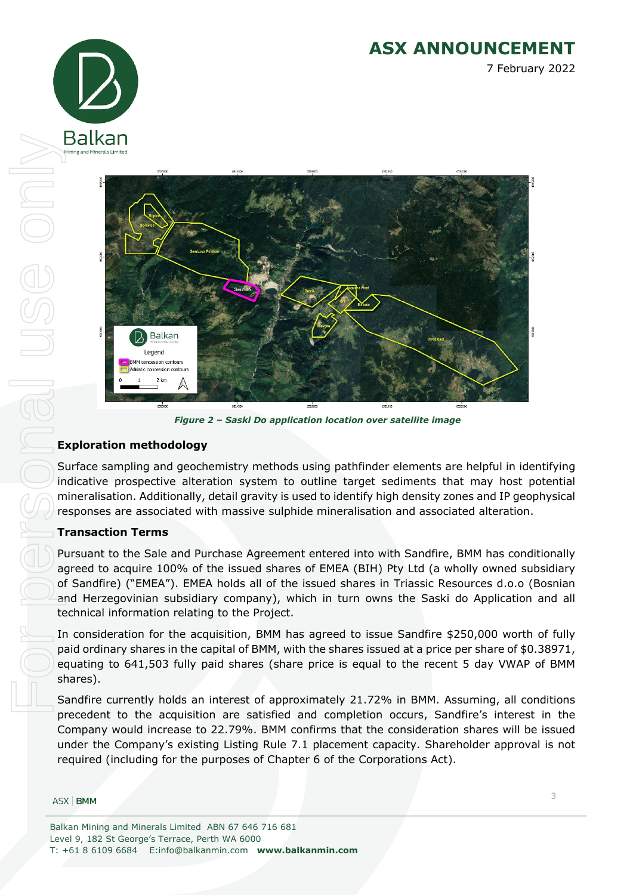



*Figure 2 – Saski Do application location over satellite image*

## **Exploration methodology**

Surface sampling and geochemistry methods using pathfinder elements are helpful in identifying indicative prospective alteration system to outline target sediments that may host potential mineralisation. Additionally, detail gravity is used to identify high density zones and IP geophysical responses are associated with massive sulphide mineralisation and associated alteration.

## **Transaction Terms**

Balkan

Pursuant to the Sale and Purchase Agreement entered into with Sandfire, BMM has conditionally agreed to acquire 100% of the issued shares of EMEA (BIH) Pty Ltd (a wholly owned subsidiary of Sandfire) ("EMEA"). EMEA holds all of the issued shares in Triassic Resources d.o.o (Bosnian and Herzegovinian subsidiary company), which in turn owns the Saski do Application and all technical information relating to the Project. FORECREOR DEUSE ON<br>References on the parameter of the second second second second second second second second second second second second second second second second second second second second second second second second

In consideration for the acquisition, BMM has agreed to issue Sandfire \$250,000 worth of fully paid ordinary shares in the capital of BMM, with the shares issued at a price per share of \$0.38971, equating to 641,503 fully paid shares (share price is equal to the recent 5 day VWAP of BMM shares).

Sandfire currently holds an interest of approximately 21.72% in BMM. Assuming, all conditions precedent to the acquisition are satisfied and completion occurs, Sandfire's interest in the Company would increase to 22.79%. BMM confirms that the consideration shares will be issued under the Company's existing Listing Rule 7.1 placement capacity. Shareholder approval is not required (including for the purposes of Chapter 6 of the Corporations Act).

#### ASX BMM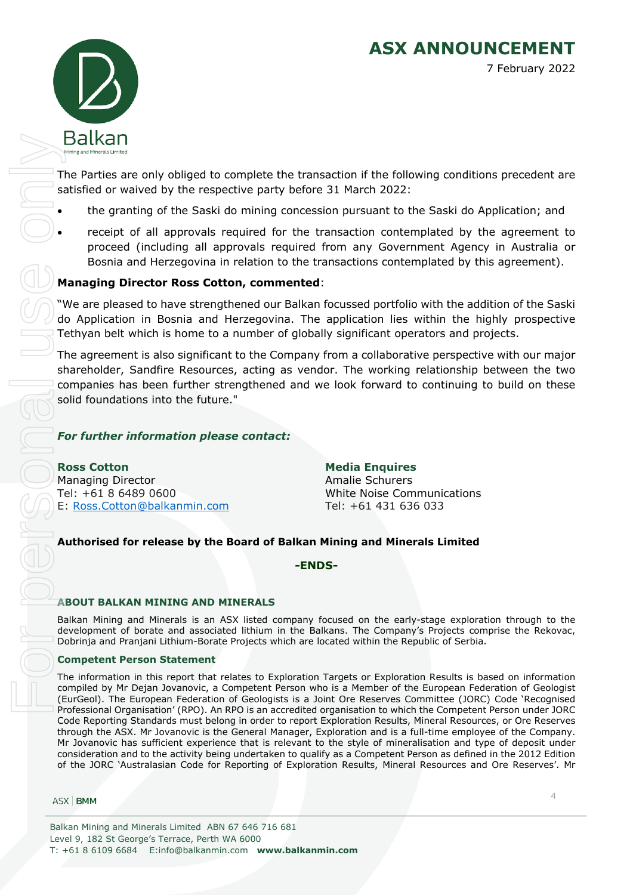

The Parties are only obliged to complete the transaction if the following conditions precedent are satisfied or waived by the respective party before 31 March 2022:

- the granting of the Saski do mining concession pursuant to the Saski do Application; and
- receipt of all approvals required for the transaction contemplated by the agreement to proceed (including all approvals required from any Government Agency in Australia or Bosnia and Herzegovina in relation to the transactions contemplated by this agreement).

## **Managing Director Ross Cotton, commented**:

"We are pleased to have strengthened our Balkan focussed portfolio with the addition of the Saski do Application in Bosnia and Herzegovina. The application lies within the highly prospective Tethyan belt which is home to a number of globally significant operators and projects.

The agreement is also significant to the Company from a collaborative perspective with our major shareholder, Sandfire Resources, acting as vendor. The working relationship between the two companies has been further strengthened and we look forward to continuing to build on these solid foundations into the future."

## *For further information please contact:*

**Ross Cotton Media Enquires** Managing Director **Amalie Schurers** Amalie Schurers Tel: +61 8 6489 0600 White Noise Communications E: [Ross.Cotton@balkanmin.com](mailto:Ross.Cotton@balkanmin.com) Tel: +61 431 636 033

## **Authorised for release by the Board of Balkan Mining and Minerals Limited**

#### **-ENDS-**

#### **ABOUT BALKAN MINING AND MINERALS**

Balkan Mining and Minerals is an ASX listed company focused on the early-stage exploration through to the development of borate and associated lithium in the Balkans. The Company's Projects comprise the Rekovac, Dobrinja and Pranjani Lithium-Borate Projects which are located within the Republic of Serbia.

#### **Competent Person Statement**

The information in this report that relates to Exploration Targets or Exploration Results is based on information compiled by Mr Dejan Jovanovic, a Competent Person who is a Member of the European Federation of Geologist (EurGeol). The European Federation of Geologists is a Joint Ore Reserves Committee (JORC) Code 'Recognised Professional Organisation' (RPO). An RPO is an accredited organisation to which the Competent Person under JORC Code Reporting Standards must belong in order to report Exploration Results, Mineral Resources, or Ore Reserves through the ASX. Mr Jovanovic is the General Manager, Exploration and is a full-time employee of the Company. Mr Jovanovic has sufficient experience that is relevant to the style of mineralisation and type of deposit under consideration and to the activity being undertaken to qualify as a Competent Person as defined in the 2012 Edition **SCINCT (Fig. 12** (Fig. 12 (Fig. 12 (Fig. 12 (Fig. 12 (Fig. 12) (Fig. 12) (Fig. 12) (Fig. 12) (Fig. 12) (Fig. 12) (Fig. 12) (Fig. 12) (Fig. 12) (Fig. 12) (Fig. 12) (Fig. 12) (Fig. 12) (Fig. 12) (Fig. 12) (Fig. 12) (Fig. 1

ASX | BMM

4